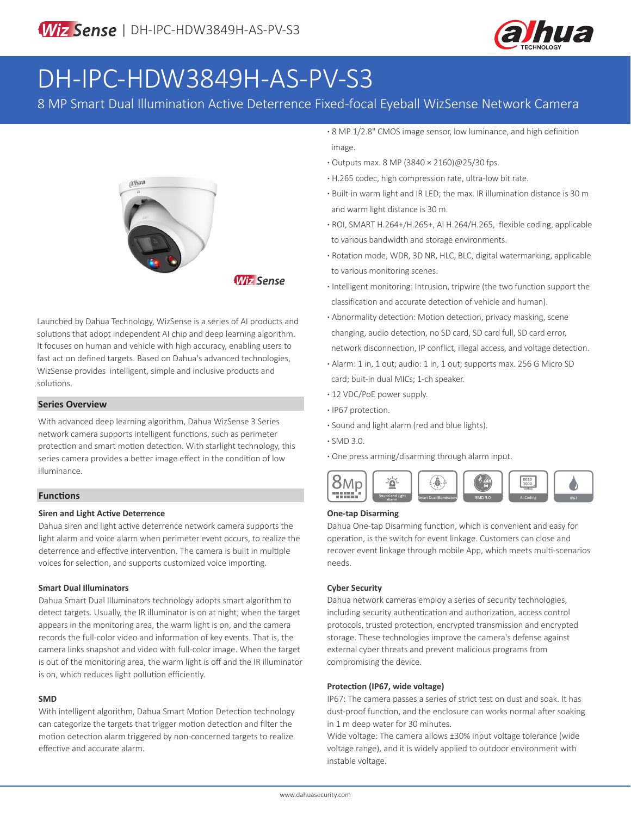

# DH-IPC-HDW3849H-AS-PV-S3

8 MP Smart Dual Illumination Active Deterrence Fixed-focal Eyeball WizSense Network Camera



**Wiz Sense** 

Launched by Dahua Technology, WizSense is a series of AI products and solutions that adopt independent AI chip and deep learning algorithm. It focuses on human and vehicle with high accuracy, enabling users to fast act on defined targets. Based on Dahua's advanced technologies, WizSense provides intelligent, simple and inclusive products and solutions.

#### **Series Overview**

With advanced deep learning algorithm, Dahua WizSense 3 Series network camera supports intelligent functions, such as perimeter protection and smart motion detection. With starlight technology, this series camera provides a better image effect in the condition of low illuminance.

#### **Functions**

#### **Siren and Light Active Deterrence**

Dahua siren and light active deterrence network camera supports the light alarm and voice alarm when perimeter event occurs, to realize the deterrence and effective intervention. The camera is built in multiple voices for selection, and supports customized voice importing.

#### **Smart Dual Illuminators**

Dahua Smart Dual Illuminators technology adopts smart algorithm to detect targets. Usually, the IR illuminator is on at night; when the target appears in the monitoring area, the warm light is on, and the camera records the full-color video and information of key events. That is, the camera links snapshot and video with full-color image. When the target is out of the monitoring area, the warm light is off and the IR illuminator is on, which reduces light pollution efficiently.

#### **SMD**

With intelligent algorithm, Dahua Smart Motion Detection technology can categorize the targets that trigger motion detection and filter the motion detection alarm triggered by non-concerned targets to realize effective and accurate alarm.

**·** 8 MP 1/2.8" CMOS image sensor, low luminance, and high definition image.

- **·** Outputs max. 8 MP (3840 × 2160)@25/30 fps.
- **·** H.265 codec, high compression rate, ultra-low bit rate.
- **·** Built-in warm light and IR LED; the max. IR illumination distance is 30 m and warm light distance is 30 m.
- **·** ROI, SMART H.264+/H.265+, AI H.264/H.265, flexible coding, applicable to various bandwidth and storage environments.
- **·** Rotation mode, WDR, 3D NR, HLC, BLC, digital watermarking, applicable to various monitoring scenes.
- **·** Intelligent monitoring: Intrusion, tripwire (the two function support the classification and accurate detection of vehicle and human).
- **·** Abnormality detection: Motion detection, privacy masking, scene changing, audio detection, no SD card, SD card full, SD card error, network disconnection, IP conflict, illegal access, and voltage detection.
- **·** Alarm: 1 in, 1 out; audio: 1 in, 1 out; supports max. 256 G Micro SD card; buit-in dual MICs; 1-ch speaker.
- **·** 12 VDC/PoE power supply.
- **·** IP67 protection.
- **·** Sound and light alarm (red and blue lights).
- **·** SMD 3.0.
- **·** One press arming/disarming through alarm input.



#### **One-tap Disarming**

Dahua One-tap Disarming function, which is convenient and easy for operation, is the switch for event linkage. Customers can close and recover event linkage through mobile App, which meets multi-scenarios needs.

#### **Cyber Security**

Dahua network cameras employ a series of security technologies, including security authentication and authorization, access control protocols, trusted protection, encrypted transmission and encrypted storage. These technologies improve the camera's defense against external cyber threats and prevent malicious programs from compromising the device.

#### **Protection (IP67, wide voltage)**

IP67: The camera passes a series of strict test on dust and soak. It has dust-proof function, and the enclosure can works normal after soaking in 1 m deep water for 30 minutes.

Wide voltage: The camera allows ±30% input voltage tolerance (wide voltage range), and it is widely applied to outdoor environment with instable voltage.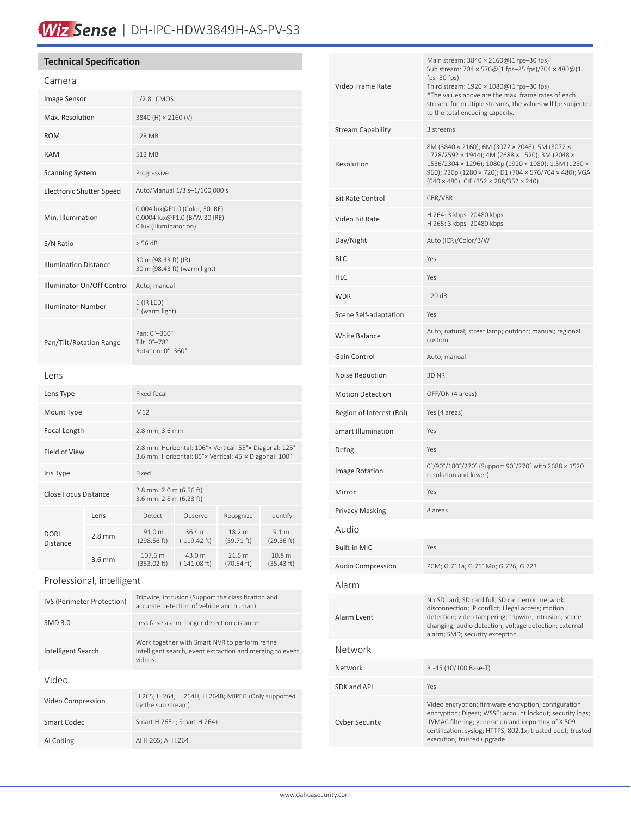## Wiz Sense | DH-IPC-HDW3849H-AS-PV-S3

### **Technical Specification**

| Camera                          |          |                                                                                                                   |                       |                      |                                |
|---------------------------------|----------|-------------------------------------------------------------------------------------------------------------------|-----------------------|----------------------|--------------------------------|
| <b>Image Sensor</b>             |          | 1/2.8" CMOS                                                                                                       |                       |                      |                                |
| Max. Resolution                 |          | 3840 (H) × 2160 (V)                                                                                               |                       |                      |                                |
| <b>ROM</b>                      |          | 128 MB                                                                                                            |                       |                      |                                |
| <b>RAM</b>                      |          | 512 MB                                                                                                            |                       |                      |                                |
| <b>Scanning System</b>          |          | Progressive                                                                                                       |                       |                      |                                |
| <b>Electronic Shutter Speed</b> |          | Auto/Manual 1/3 s-1/100,000 s                                                                                     |                       |                      |                                |
| Min. Illumination               |          | 0.004 lux@F1.0 (Color, 30 IRE)<br>0.0004 lux@F1.0 (B/W, 30 IRE)<br>0 lux (illuminator on)                         |                       |                      |                                |
| S/N Ratio                       |          | > 56 dB                                                                                                           |                       |                      |                                |
| <b>Illumination Distance</b>    |          | 30 m (98.43 ft) (IR)<br>30 m (98.43 ft) (warm light)                                                              |                       |                      |                                |
| Illuminator On/Off Control      |          | Auto; manual                                                                                                      |                       |                      |                                |
| <b>Illuminator Number</b>       |          | $1$ (IR LED)<br>1 (warm light)                                                                                    |                       |                      |                                |
| Pan/Tilt/Rotation Range         |          | Pan: 0°-360°<br>Tilt: 0°-78°<br>Rotation: 0°-360°                                                                 |                       |                      |                                |
| Lens                            |          |                                                                                                                   |                       |                      |                                |
| Lens Type                       |          | Fixed-focal                                                                                                       |                       |                      |                                |
| Mount Type                      |          | M12                                                                                                               |                       |                      |                                |
| Focal Length                    |          | 2.8 mm; 3.6 mm                                                                                                    |                       |                      |                                |
| Field of View                   |          | 2.8 mm: Horizontal: 106°× Vertical: 55°× Diagonal: 125°<br>3.6 mm: Horizontal: 85°× Vertical: 45°× Diagonal: 100° |                       |                      |                                |
| Iris Type                       |          | Fixed                                                                                                             |                       |                      |                                |
| <b>Close Focus Distance</b>     |          | 2.8 mm: 2.0 m (6.56 ft)<br>3.6 mm: 2.8 m (6.23 ft)                                                                |                       |                      |                                |
| <b>DORI</b><br>Distance         | Lens     | Detect                                                                                                            | Observe               | Recognize            | Identify                       |
|                                 | $2.8$ mm | 91.0 m<br>(298.56 ft)                                                                                             | 36.4 m<br>(119.42 ft) | 18.2 m<br>(59.71 ft) | 9.1 <sub>m</sub><br>(29.86 ft) |
|                                 | 3.6 mm   | 107.6 m<br>(353.02 ft)                                                                                            | 43.0 m<br>(141.08 ft) | 21.5 m<br>(70.54 ft) | 10.8 m<br>(35.43 ft)           |
| Professional, intelligent       |          |                                                                                                                   |                       |                      |                                |

| IVS (Perimeter Protection) | Tripwire; intrusion (Support the classification and<br>accurate detection of vehicle and human)                        |  |  |  |
|----------------------------|------------------------------------------------------------------------------------------------------------------------|--|--|--|
| <b>SMD 3.0</b>             | Less false alarm, longer detection distance                                                                            |  |  |  |
| Intelligent Search         | Work together with Smart NVR to perform refine<br>intelligent search, event extraction and merging to event<br>videos. |  |  |  |
| Video                      |                                                                                                                        |  |  |  |
| Video Compression          | H.265; H.264; H.264H; H.264B; MJPEG (Only supported<br>by the sub stream)                                              |  |  |  |
| Smart Codec                | Smart H.265+; Smart H.264+                                                                                             |  |  |  |
| AI Coding                  | AI H.265; AI H.264                                                                                                     |  |  |  |

| Video Frame Rate          | Main stream: 3840 × 2160@(1 fps-30 fps)<br>Sub stream: 704 × 576@(1 fps-25 fps)/704 × 480@(1<br>$fps-30$ $fps$ )<br>Third stream: $1920 \times 1080 \omega(1$ fps-30 fps)<br>*The values above are the max. frame rates of each<br>stream; for multiple streams, the values will be subjected<br>to the total encoding capacity. |  |  |
|---------------------------|----------------------------------------------------------------------------------------------------------------------------------------------------------------------------------------------------------------------------------------------------------------------------------------------------------------------------------|--|--|
| <b>Stream Capability</b>  | 3 streams                                                                                                                                                                                                                                                                                                                        |  |  |
| Resolution                | 8M (3840 × 2160); 6M (3072 × 2048); 5M (3072 ×<br>1728/2592 × 1944); 4M (2688 × 1520); 3M (2048 ×<br>1536/2304 × 1296); 1080p (1920 × 1080); 1.3M (1280 ×<br>960); 720p (1280 × 720); D1 (704 × 576/704 × 480); VGA<br>(640 × 480); CIF (352 × 288/352 × 240)                                                                    |  |  |
| <b>Bit Rate Control</b>   | CBR/VBR                                                                                                                                                                                                                                                                                                                          |  |  |
| Video Bit Rate            | H.264: 3 kbps-20480 kbps<br>H.265: 3 kbps-20480 kbps                                                                                                                                                                                                                                                                             |  |  |
| Day/Night                 | Auto (ICR)/Color/B/W                                                                                                                                                                                                                                                                                                             |  |  |
| <b>BLC</b>                | Yes                                                                                                                                                                                                                                                                                                                              |  |  |
| HLC                       | Yes                                                                                                                                                                                                                                                                                                                              |  |  |
| <b>WDR</b>                | 120dB                                                                                                                                                                                                                                                                                                                            |  |  |
| Scene Self-adaptation     | Yes                                                                                                                                                                                                                                                                                                                              |  |  |
| White Balance             | Auto; natural; street lamp; outdoor; manual; regional<br>custom                                                                                                                                                                                                                                                                  |  |  |
| Gain Control              | Auto; manual                                                                                                                                                                                                                                                                                                                     |  |  |
| <b>Noise Reduction</b>    | 3D <sub>NR</sub>                                                                                                                                                                                                                                                                                                                 |  |  |
| <b>Motion Detection</b>   | OFF/ON (4 areas)                                                                                                                                                                                                                                                                                                                 |  |  |
| Region of Interest (RoI)  | Yes (4 areas)                                                                                                                                                                                                                                                                                                                    |  |  |
| <b>Smart Illumination</b> | Yes                                                                                                                                                                                                                                                                                                                              |  |  |
| Defog                     | Yes                                                                                                                                                                                                                                                                                                                              |  |  |
| Image Rotation            | 0°/90°/180°/270° (Support 90°/270° with 2688 × 1520<br>resolution and lower)                                                                                                                                                                                                                                                     |  |  |
| Mirror                    | Yes                                                                                                                                                                                                                                                                                                                              |  |  |
| Privacy Masking           | 8 areas                                                                                                                                                                                                                                                                                                                          |  |  |
| Audio                     |                                                                                                                                                                                                                                                                                                                                  |  |  |
| <b>Built-in MIC</b>       | Yes                                                                                                                                                                                                                                                                                                                              |  |  |
| <b>Audio Compression</b>  | PCM; G.711a; G.711Mu; G.726; G.723                                                                                                                                                                                                                                                                                               |  |  |
| Alarm                     |                                                                                                                                                                                                                                                                                                                                  |  |  |
| Alarm Event               | No SD card; SD card full; SD card error; network<br>disconnection; IP conflict; illegal access; motion<br>detection; video tampering; tripwire; intrusion; scene<br>changing; audio detection; voltage detection; external<br>alarm; SMD; security exception                                                                     |  |  |
| Network                   |                                                                                                                                                                                                                                                                                                                                  |  |  |
| Network                   | RJ-45 (10/100 Base-T)                                                                                                                                                                                                                                                                                                            |  |  |
| SDK and API               | Yes                                                                                                                                                                                                                                                                                                                              |  |  |
| <b>Cyber Security</b>     | Video encryption; firmware encryption; configuration<br>encryption; Digest; WSSE; account lockout; security logs;<br>IP/MAC filtering; generation and importing of X.509<br>certification; syslog; HTTPS; 802.1x; trusted boot; trusted<br>execution; trusted upgrade                                                            |  |  |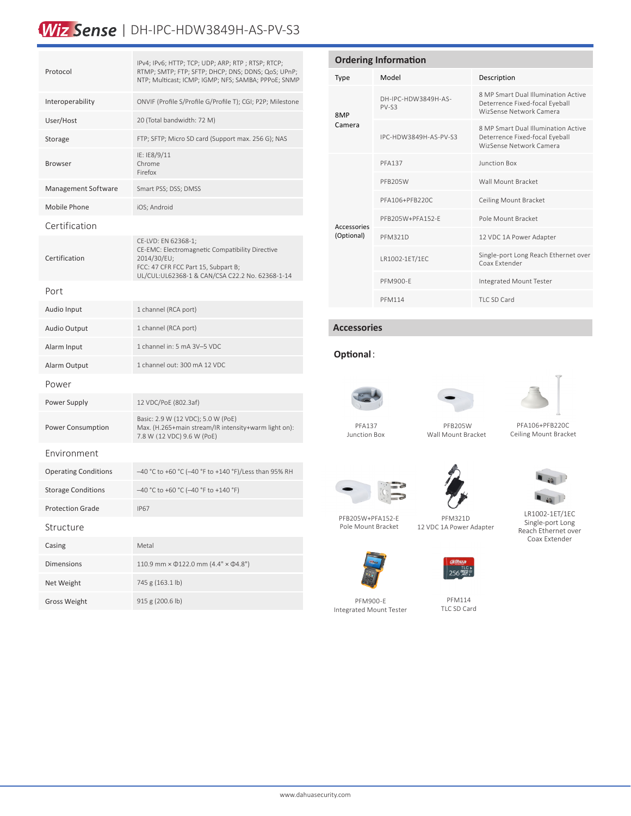### Wiz Sense | DH-IPC-HDW3849H-AS-PV-S3

| Protocol                    | IPv4; IPv6; HTTP; TCP; UDP; ARP; RTP; RTSP; RTCP;<br>RTMP; SMTP; FTP; SFTP; DHCP; DNS; DDNS; QoS; UPnP;<br>NTP; Multicast; ICMP; IGMP; NFS; SAMBA; PPPoE; SNMP                  |  |  |  |  |
|-----------------------------|---------------------------------------------------------------------------------------------------------------------------------------------------------------------------------|--|--|--|--|
| Interoperability            | ONVIF (Profile S/Profile G/Profile T); CGI; P2P; Milestone                                                                                                                      |  |  |  |  |
| User/Host                   | 20 (Total bandwidth: 72 M)                                                                                                                                                      |  |  |  |  |
| Storage                     | FTP; SFTP; Micro SD card (Support max. 256 G); NAS                                                                                                                              |  |  |  |  |
| <b>Browser</b>              | IE: IE8/9/11<br>Chrome<br>Firefox                                                                                                                                               |  |  |  |  |
| Management Software         | Smart PSS; DSS; DMSS                                                                                                                                                            |  |  |  |  |
| Mobile Phone                | iOS; Android                                                                                                                                                                    |  |  |  |  |
| Certification               |                                                                                                                                                                                 |  |  |  |  |
| Certification               | CE-LVD: EN 62368-1;<br>CE-EMC: Electromagnetic Compatibility Directive<br>2014/30/EU;<br>FCC: 47 CFR FCC Part 15, Subpart B;<br>UL/CUL:UL62368-1 & CAN/CSA C22.2 No. 62368-1-14 |  |  |  |  |
| Port                        |                                                                                                                                                                                 |  |  |  |  |
| Audio Input                 | 1 channel (RCA port)                                                                                                                                                            |  |  |  |  |
| Audio Output                | 1 channel (RCA port)                                                                                                                                                            |  |  |  |  |
| Alarm Input                 | 1 channel in: 5 mA 3V-5 VDC                                                                                                                                                     |  |  |  |  |
| Alarm Output                | 1 channel out: 300 mA 12 VDC                                                                                                                                                    |  |  |  |  |
| Power                       |                                                                                                                                                                                 |  |  |  |  |
| Power Supply                | 12 VDC/PoE (802.3af)                                                                                                                                                            |  |  |  |  |
| Power Consumption           | Basic: 2.9 W (12 VDC); 5.0 W (PoE)<br>Max. (H.265+main stream/IR intensity+warm light on):<br>7.8 W (12 VDC) 9.6 W (PoE)                                                        |  |  |  |  |
| Environment                 |                                                                                                                                                                                 |  |  |  |  |
| <b>Operating Conditions</b> | -40 °C to +60 °C (-40 °F to +140 °F)/Less than 95% RH                                                                                                                           |  |  |  |  |
| <b>Storage Conditions</b>   | $-40$ °C to +60 °C (-40 °F to +140 °F)                                                                                                                                          |  |  |  |  |
| <b>Protection Grade</b>     | <b>IP67</b>                                                                                                                                                                     |  |  |  |  |
| Structure                   |                                                                                                                                                                                 |  |  |  |  |
| Casing                      | Metal                                                                                                                                                                           |  |  |  |  |
| <b>Dimensions</b>           | 110.9 mm × $\Phi$ 122.0 mm (4.4" × $\Phi$ 4.8")                                                                                                                                 |  |  |  |  |
| Net Weight                  | 745 g (163.1 lb)                                                                                                                                                                |  |  |  |  |
| <b>Gross Weight</b>         | 915 g (200.6 lb)                                                                                                                                                                |  |  |  |  |

| <b>Ordering Information</b> |                                |                                                                                                  |  |  |
|-----------------------------|--------------------------------|--------------------------------------------------------------------------------------------------|--|--|
| Type                        | Model                          | Description                                                                                      |  |  |
| 8MP<br>Camera               | DH-IPC-HDW3849H-AS-<br>$PV-S3$ | 8 MP Smart Dual Illumination Active<br>Deterrence Fixed-focal Eyeball<br>WizSense Network Camera |  |  |
|                             | IPC-HDW3849H-AS-PV-S3          | 8 MP Smart Dual Illumination Active<br>Deterrence Fixed-focal Eyeball<br>WizSense Network Camera |  |  |
| Accessories<br>(Optional)   | <b>PFA137</b>                  | Junction Box                                                                                     |  |  |
|                             | PFB205W                        | Wall Mount Bracket                                                                               |  |  |
|                             | PFA106+PFB220C                 | Ceiling Mount Bracket                                                                            |  |  |
|                             | PFB205W+PFA152-F               | Pole Mount Bracket                                                                               |  |  |
|                             | <b>PFM321D</b>                 | 12 VDC 1A Power Adapter                                                                          |  |  |
|                             | LR1002-1ET/1EC                 | Single-port Long Reach Ethernet over<br>Coax Extender                                            |  |  |
|                             | <b>PFM900-F</b>                | Integrated Mount Tester                                                                          |  |  |
|                             | <b>PFM114</b>                  | TLC SD Card                                                                                      |  |  |

#### **Accessories**

#### **Optional**:



Junction Box



 PFB205W Wall Mount Bracket



 PFA106+PFB220C Ceiling Mount Bracket





12 VDC 1A Power Adapter



 $\blacksquare$  is  $\blacksquare$ LR1002-1ET/1EC

Single-port Long Reach Ethernet over Coax Extender





PFM900-E Integrated Mount Tester



TLC SD Card

PFM114